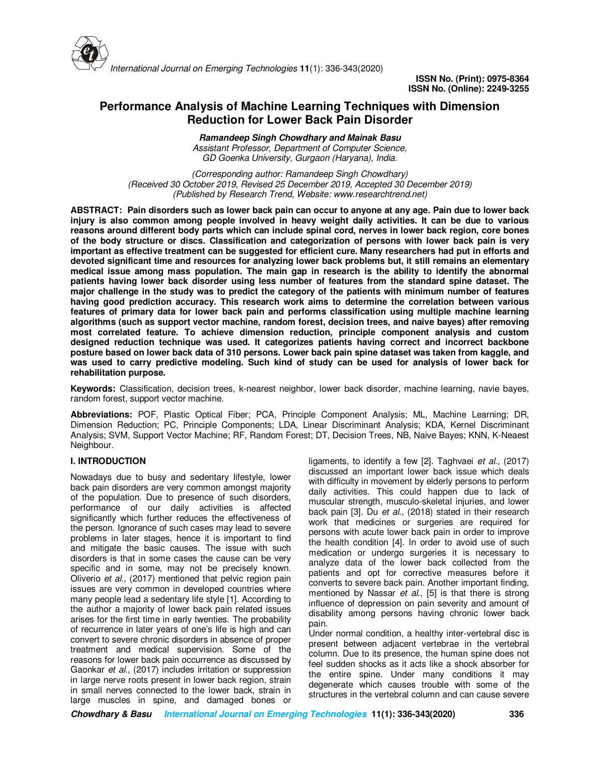

# **Performance Analysis of Machine Learning Techniques with Dimension Reduction for Lower Back Pain Disorder**

**Ramandeep Singh Chowdhary and Mainak Basu** *Assistant Professor, Department of Computer Science, GD Goenka University, Gurgaon (Haryana), India.*

*(Corresponding author: Ramandeep Singh Chowdhary) (Received 30 October 2019, Revised 25 December 2019, Accepted 30 December 2019) (Published by Research Trend, Website: www.researchtrend.net)*

**ABSTRACT: Pain disorders such as lower back pain can occur to anyone at any age. Pain due to lower back injury is also common among people involved in heavy weight daily activities. It can be due to various reasons around different body parts which can include spinal cord, nerves in lower back region, core bones of the body structure or discs. Classification and categorization of persons with lower back pain is very important as effective treatment can be suggested for efficient cure. Many researchers had put in efforts and devoted significant time and resources for analyzing lower back problems but, it still remains an elementary medical issue among mass population. The main gap in research is the ability to identify the abnormal patients having lower back disorder using less number of features from the standard spine dataset. The major challenge in the study was to predict the category of the patients with minimum number of features having good prediction accuracy. This research work aims to determine the correlation between various features of primary data for lower back pain and performs classification using multiple machine learning algorithms (such as support vector machine, random forest, decision trees, and naive bayes) after removing most correlated feature. To achieve dimension reduction, principle component analysis and custom designed reduction technique was used. It categorizes patients having correct and incorrect backbone posture based on lower back data of 310 persons. Lower back pain spine dataset was taken from kaggle, and was used to carry predictive modeling. Such kind of study can be used for analysis of lower back for rehabilitation purpose.** 

**Keywords:** Classification, decision trees, k-nearest neighbor, lower back disorder, machine learning, navie bayes, random forest, support vector machine.

**Abbreviations:** POF, Plastic Optical Fiber; PCA, Principle Component Analysis; ML, Machine Learning; DR, Dimension Reduction; PC, Principle Components; LDA, Linear Discriminant Analysis; KDA, Kernel Discriminant Analysis; SVM, Support Vector Machine; RF, Random Forest; DT, Decision Trees, NB, Naive Bayes; KNN, K-Neaest Neighbour.

# **I. INTRODUCTION**

Nowadays due to busy and sedentary lifestyle, lower back pain disorders are very common amongst majority of the population. Due to presence of such disorders, performance of our daily activities is affected significantly which further reduces the effectiveness of the person. Ignorance of such cases may lead to severe problems in later stages, hence it is important to find and mitigate the basic causes. The issue with such disorders is that in some cases the cause can be very specific and in some, may not be precisely known. Oliverio *et al.,* (2017) mentioned that pelvic region pain issues are very common in developed countries where many people lead a sedentary life style [1]. According to the author a majority of lower back pain related issues arises for the first time in early twenties. The probability of recurrence in later years of one's life is high and can convert to severe chronic disorders in absence of proper treatment and medical supervision. Some of the reasons for lower back pain occurrence as discussed by Gaonkar *et al*., (2017) includes irritation or suppression in large nerve roots present in lower back region, strain in small nerves connected to the lower back, strain in large muscles in spine, and damaged bones or

ligaments, to identify a few [2]. Taghvaei *et al.,* (2017) discussed an important lower back issue which deals with difficulty in movement by elderly persons to perform daily activities. This could happen due to lack of muscular strength, musculo-skeletal injuries, and lower back pain [3]. Du *et al*., (2018) stated in their research work that medicines or surgeries are required for persons with acute lower back pain in order to improve the health condition [4]. In order to avoid use of such medication or undergo surgeries it is necessary to analyze data of the lower back collected from the patients and opt for corrective measures before it converts to severe back pain. Another important finding, mentioned by Nassar *et al*., [5] is that there is strong influence of depression on pain severity and amount of disability among persons having chronic lower back pain.

Under normal condition, a healthy inter-vertebral disc is present between adjacent vertebrae in the vertebral column. Due to its presence, the human spine does not feel sudden shocks as it acts like a shock absorber for the entire spine. Under many conditions it may degenerate which causes trouble with some of the structures in the vertebral column and can cause severe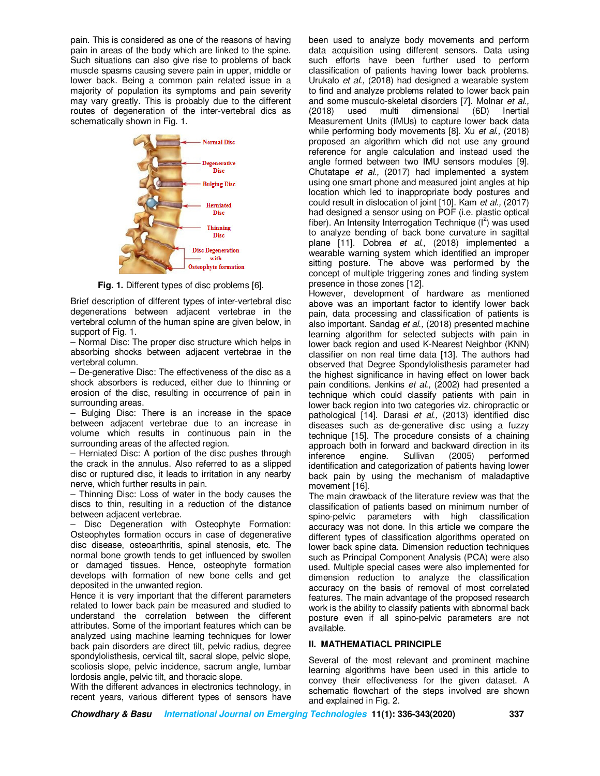pain. This is considered as one of the reasons of having pain in areas of the body which are linked to the spine. Such situations can also give rise to problems of back muscle spasms causing severe pain in upper, middle or lower back. Being a common pain related issue in a majority of population its symptoms and pain severity may vary greatly. This is probably due to the different routes of degeneration of the inter-vertebral dics as schematically shown in Fig. 1.



**Fig. 1.** Different types of disc problems [6].

Brief description of different types of inter-vertebral disc degenerations between adjacent vertebrae in the vertebral column of the human spine are given below, in support of Fig. 1.

– Normal Disc: The proper disc structure which helps in absorbing shocks between adjacent vertebrae in the vertebral column.

– De-generative Disc: The effectiveness of the disc as a shock absorbers is reduced, either due to thinning or erosion of the disc, resulting in occurrence of pain in surrounding areas.

– Bulging Disc: There is an increase in the space between adjacent vertebrae due to an increase in volume which results in continuous pain in the surrounding areas of the affected region.

– Herniated Disc: A portion of the disc pushes through the crack in the annulus. Also referred to as a slipped disc or ruptured disc, it leads to irritation in any nearby nerve, which further results in pain.

– Thinning Disc: Loss of water in the body causes the discs to thin, resulting in a reduction of the distance between adjacent vertebrae.

– Disc Degeneration with Osteophyte Formation: Osteophytes formation occurs in case of degenerative disc disease, osteoarthritis, spinal stenosis, etc. The normal bone growth tends to get influenced by swollen or damaged tissues. Hence, osteophyte formation develops with formation of new bone cells and get deposited in the unwanted region.

Hence it is very important that the different parameters related to lower back pain be measured and studied to understand the correlation between the different attributes. Some of the important features which can be analyzed using machine learning techniques for lower back pain disorders are direct tilt, pelvic radius, degree spondylolisthesis, cervical tilt, sacral slope, pelvic slope, scoliosis slope, pelvic incidence, sacrum angle, lumbar lordosis angle, pelvic tilt, and thoracic slope.

With the different advances in electronics technology, in recent years, various different types of sensors have

been used to analyze body movements and perform data acquisition using different sensors. Data using such efforts have been further used to perform classification of patients having lower back problems. Urukalo *et al.,* (2018) had designed a wearable system to find and analyze problems related to lower back pain and some musculo-skeletal disorders [7]. Molnar *et al.,* (2018) used multi dimensional (6D) Inertial Measurement Units (IMUs) to capture lower back data while performing body movements [8]. Xu *et al.,* (2018) proposed an algorithm which did not use any ground reference for angle calculation and instead used the angle formed between two IMU sensors modules [9]. Chutatape *et al.,* (2017) had implemented a system using one smart phone and measured joint angles at hip location which led to inappropriate body postures and could result in dislocation of joint [10]. Kam *et al.,* (2017) had designed a sensor using on POF (i.e. plastic optical fiber). An Intensity Interrogation Technique  $(I^2)$  was used to analyze bending of back bone curvature in sagittal plane [11]. Dobrea *et al.,* (2018) implemented a wearable warning system which identified an improper sitting posture. The above was performed by the concept of multiple triggering zones and finding system presence in those zones [12].

However, development of hardware as mentioned above was an important factor to identify lower back pain, data processing and classification of patients is also important. Sandag *et al.,* (2018) presented machine learning algorithm for selected subjects with pain in lower back region and used K-Nearest Neighbor (KNN) classifier on non real time data [13]. The authors had observed that Degree Spondylolisthesis parameter had the highest significance in having effect on lower back pain conditions. Jenkins *et al.,* (2002) had presented a technique which could classify patients with pain in lower back region into two categories viz. chiropractic or pathological [14]. Darasi *et al.,* (2013) identified disc diseases such as de-generative disc using a fuzzy technique [15]. The procedure consists of a chaining approach both in forward and backward direction in its inference engine. Sullivan (2005) performed identification and categorization of patients having lower back pain by using the mechanism of maladaptive movement [16].

The main drawback of the literature review was that the classification of patients based on minimum number of spino-pelvic parameters with high classification accuracy was not done. In this article we compare the different types of classification algorithms operated on lower back spine data. Dimension reduction techniques such as Principal Component Analysis (PCA) were also used. Multiple special cases were also implemented for dimension reduction to analyze the classification accuracy on the basis of removal of most correlated features. The main advantage of the proposed research work is the ability to classify patients with abnormal back posture even if all spino-pelvic parameters are not available.

### **II. MATHEMATIACL PRINCIPLE**

Several of the most relevant and prominent machine learning algorithms have been used in this article to convey their effectiveness for the given dataset. A schematic flowchart of the steps involved are shown and explained in Fig. 2.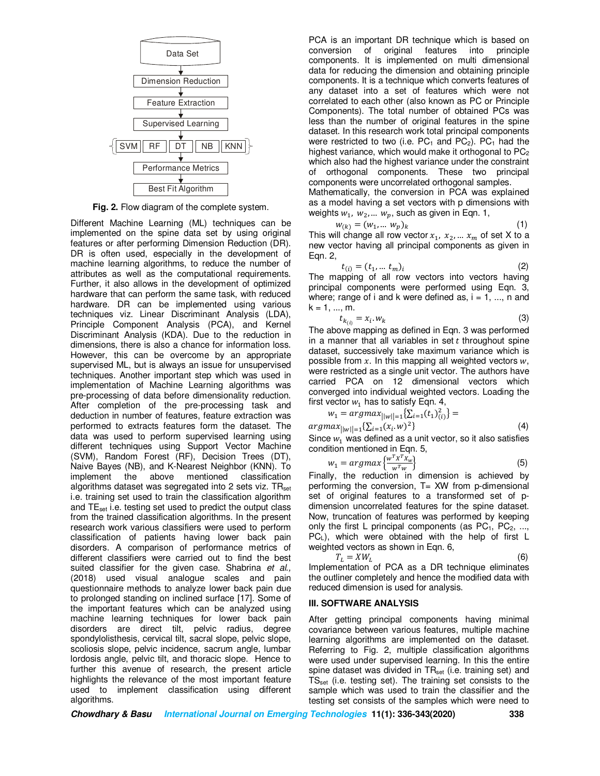

**Fig. 2.** Flow diagram of the complete system.

Different Machine Learning (ML) techniques can be implemented on the spine data set by using original features or after performing Dimension Reduction (DR). DR is often used, especially in the development of machine learning algorithms, to reduce the number of attributes as well as the computational requirements. Further, it also allows in the development of optimized hardware that can perform the same task, with reduced hardware. DR can be implemented using various techniques viz. Linear Discriminant Analysis (LDA), Principle Component Analysis (PCA), and Kernel Discriminant Analysis (KDA). Due to the reduction in dimensions, there is also a chance for information loss. However, this can be overcome by an appropriate supervised ML, but is always an issue for unsupervised techniques. Another important step which was used in implementation of Machine Learning algorithms was pre-processing of data before dimensionality reduction. After completion of the pre-processing task and deduction in number of features, feature extraction was performed to extracts features form the dataset. The data was used to perform supervised learning using different techniques using Support Vector Machine (SVM), Random Forest (RF), Decision Trees (DT), Naive Bayes (NB), and K-Nearest Neighbor (KNN). To implement the above mentioned classification algorithms dataset was segregated into 2 sets viz.  $TR_{set}$ i.e. training set used to train the classification algorithm and TEset i.e. testing set used to predict the output class from the trained classification algorithms. In the present research work various classifiers were used to perform classification of patients having lower back pain disorders. A comparison of performance metrics of different classifiers were carried out to find the best suited classifier for the given case. Shabrina *et al.,* (2018) used visual analogue scales and pain questionnaire methods to analyze lower back pain due to prolonged standing on inclined surface [17]. Some of the important features which can be analyzed using machine learning techniques for lower back pain disorders are direct tilt, pelvic radius, degree spondylolisthesis, cervical tilt, sacral slope, pelvic slope, scoliosis slope, pelvic incidence, sacrum angle, lumbar lordosis angle, pelvic tilt, and thoracic slope. Hence to further this avenue of research, the present article highlights the relevance of the most important feature used to implement classification using different algorithms.

PCA is an important DR technique which is based on conversion of original features into principle components. It is implemented on multi dimensional data for reducing the dimension and obtaining principle components. It is a technique which converts features of any dataset into a set of features which were not correlated to each other (also known as PC or Principle Components). The total number of obtained PCs was less than the number of original features in the spine dataset. In this research work total principal components were restricted to two (i.e.  $PC_1$  and  $PC_2$ ).  $PC_1$  had the highest variance, which would make it orthogonal to  $PC<sub>2</sub>$ which also had the highest variance under the constraint of orthogonal components. These two principal components were uncorrelated orthogonal samples.

Mathematically, the conversion in PCA was explained as a model having a set vectors with p dimensions with weights  $w_1$ ,  $w_2$ , ...  $w_p$ , such as given in Eqn. 1,

$$
w_{(k)} = (w_1, \dots w_p)_k \tag{1}
$$

This will change all row vector  $x_1, x_2, ... x_m$  of set X to a new vector having all principal components as given in Eqn. 2,

$$
t_{(i)} = (t_1, \dots, t_m)_i \tag{2}
$$

 $t_{(i)} = (t_1, ..., t_m)_i$ <br>The mapping of all row vectors into vectors having principal components were performed using Eqn. 3, where; range of i and k were defined as,  $i = 1, \ldots, n$  and  $k = 1, ..., m$ .

$$
t_{k_{(i)}} = x_i \cdot w_k \tag{3}
$$

The above mapping as defined in Eqn. 3 was performed in a manner that all variables in set  $t$  throughout spine dataset, successively take maximum variance which is possible from  $x$ . In this mapping all weighted vectors  $w$ , were restricted as a single unit vector. The authors have carried PCA on 12 dimensional vectors which converged into individual weighted vectors. Loading the first vector  $w_1$  has to satisfy Eqn. 4,

$$
w_1 = argmax_{\{|w\| = 1} \{ \sum_{i=1}^{\infty} (t_1)_{(i)}^2 \} = argmax_{\{|w\| = 1} \{ \sum_{i=1}^{\infty} (x_i \cdot w)^2 \}} \tag{4}
$$

Since  $w_1$  was defined as a unit vector, so it also satisfies condition mentioned in Eqn. 5,

$$
w_1 = \operatorname{argmax} \left\{ \frac{w^T x^T x_w}{w^T w} \right\} \tag{5}
$$

 $\begin{bmatrix} a_1 & a_2 & a_3 & a_4 \\ a_1 & a_2 & a_3 & a_4 \end{bmatrix}$ <br>Finally, the reduction in dimension is achieved by performing the conversion, T= XW from p-dimensional set of original features to a transformed set of pdimension uncorrelated features for the spine dataset. Now, truncation of features was performed by keeping only the first L principal components (as  $PC_1$ ,  $PC_2$ , ..., PCL), which were obtained with the help of first L weighted vectors as shown in Eqn. 6.

$$
T_L = XW_L
$$
 (6)

Implementation of PCA as a DR technique eliminates the outliner completely and hence the modified data with reduced dimension is used for analysis.

### **III. SOFTWARE ANALYSIS**

After getting principal components having minimal covariance between various features, multiple machine learning algorithms are implemented on the dataset. Referring to Fig. 2, multiple classification algorithms were used under supervised learning. In this the entire spine dataset was divided in  $TR_{set}$  (i.e. training set) and  $TS_{set}$  (i.e. testing set). The training set consists to the sample which was used to train the classifier and the testing set consists of the samples which were need to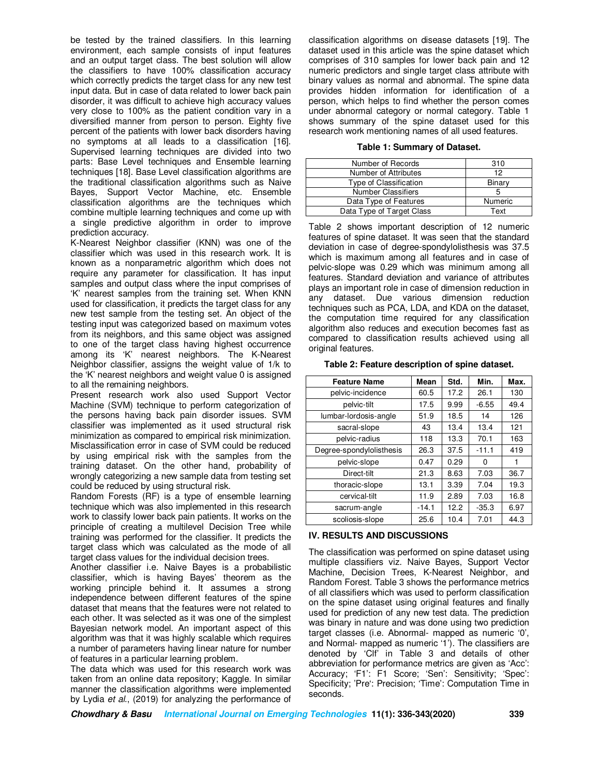be tested by the trained classifiers. In this learning environment, each sample consists of input features and an output target class. The best solution will allow the classifiers to have 100% classification accuracy which correctly predicts the target class for any new test input data. But in case of data related to lower back pain disorder, it was difficult to achieve high accuracy values very close to 100% as the patient condition vary in a diversified manner from person to person. Eighty five percent of the patients with lower back disorders having no symptoms at all leads to a classification [16]. Supervised learning techniques are divided into two parts: Base Level techniques and Ensemble learning techniques [18]. Base Level classification algorithms are the traditional classification algorithms such as Naive Bayes, Support Vector Machine, etc. Ensemble classification algorithms are the techniques which combine multiple learning techniques and come up with a single predictive algorithm in order to improve prediction accuracy.

K-Nearest Neighbor classifier (KNN) was one of the classifier which was used in this research work. It is known as a nonparametric algorithm which does not require any parameter for classification. It has input samples and output class where the input comprises of 'K' nearest samples from the training set. When KNN used for classification, it predicts the target class for any new test sample from the testing set. An object of the testing input was categorized based on maximum votes from its neighbors, and this same object was assigned to one of the target class having highest occurrence among its 'K' nearest neighbors. The K-Nearest Neighbor classifier, assigns the weight value of 1/k to the 'K' nearest neighbors and weight value 0 is assigned to all the remaining neighbors.

Present research work also used Support Vector Machine (SVM) technique to perform categorization of the persons having back pain disorder issues. SVM classifier was implemented as it used structural risk minimization as compared to empirical risk minimization. Misclassification error in case of SVM could be reduced by using empirical risk with the samples from the training dataset. On the other hand, probability of wrongly categorizing a new sample data from testing set could be reduced by using structural risk.

Random Forests (RF) is a type of ensemble learning technique which was also implemented in this research work to classify lower back pain patients. It works on the principle of creating a multilevel Decision Tree while training was performed for the classifier. It predicts the target class which was calculated as the mode of all target class values for the individual decision trees.

Another classifier i.e. Naive Bayes is a probabilistic classifier, which is having Bayes' theorem as the working principle behind it. It assumes a strong independence between different features of the spine dataset that means that the features were not related to each other. It was selected as it was one of the simplest Bayesian network model. An important aspect of this algorithm was that it was highly scalable which requires a number of parameters having linear nature for number of features in a particular learning problem.

The data which was used for this research work was taken from an online data repository; Kaggle. In similar manner the classification algorithms were implemented by Lydia *et al.*, (2019) for analyzing the performance of

classification algorithms on disease datasets [19]. The dataset used in this article was the spine dataset which comprises of 310 samples for lower back pain and 12 numeric predictors and single target class attribute with binary values as normal and abnormal. The spine data provides hidden information for identification of a person, which helps to find whether the person comes under abnormal category or normal category. Table 1 shows summary of the spine dataset used for this research work mentioning names of all used features.

#### **Table 1: Summary of Dataset.**

| Number of Records         | 310     |
|---------------------------|---------|
| Number of Attributes      | 12      |
| Type of Classification    | Binary  |
| <b>Number Classifiers</b> |         |
| Data Type of Features     | Numeric |
| Data Type of Target Class | Text    |

Table 2 shows important description of 12 numeric features of spine dataset. It was seen that the standard deviation in case of degree-spondylolisthesis was 37.5 which is maximum among all features and in case of pelvic-slope was 0.29 which was minimum among all features. Standard deviation and variance of attributes plays an important role in case of dimension reduction in any dataset. Due various dimension reduction techniques such as PCA, LDA, and KDA on the dataset, the computation time required for any classification algorithm also reduces and execution becomes fast as compared to classification results achieved using all original features.

#### **Table 2: Feature description of spine dataset.**

| <b>Feature Name</b>      | Mean    | Std. | Min.    | Max. |
|--------------------------|---------|------|---------|------|
| pelvic-incidence         | 60.5    | 17.2 | 26.1    | 130  |
| pelvic-tilt              | 17.5    | 9.99 | $-6.55$ | 49.4 |
| lumbar-lordosis-angle    | 51.9    | 18.5 | 14      | 126  |
| sacral-slope             | 43      | 13.4 | 13.4    | 121  |
| pelvic-radius            | 118     | 13.3 | 70.1    | 163  |
| Degree-spondylolisthesis | 26.3    | 37.5 | $-11.1$ | 419  |
| pelvic-slope             | 0.47    | 0.29 | 0       | 1    |
| Direct-tilt              | 21.3    | 8.63 | 7.03    | 36.7 |
| thoracic-slope           | 13.1    | 3.39 | 7.04    | 19.3 |
| cervical-tilt            | 11.9    | 2.89 | 7.03    | 16.8 |
| sacrum-angle             | $-14.1$ | 12.2 | $-35.3$ | 6.97 |
| scoliosis-slope          | 25.6    | 10.4 | 7.01    | 44.3 |

#### **IV. RESULTS AND DISCUSSIONS**

The classification was performed on spine dataset using multiple classifiers viz. Naive Bayes, Support Vector Machine, Decision Trees, K-Nearest Neighbor, and Random Forest. Table 3 shows the performance metrics of all classifiers which was used to perform classification on the spine dataset using original features and finally used for prediction of any new test data. The prediction was binary in nature and was done using two prediction target classes (i.e. Abnormal- mapped as numeric '0', and Normal- mapped as numeric '1'). The classifiers are denoted by 'Clf' in Table 3 and details of other abbreviation for performance metrics are given as 'Acc': Accuracy; 'F1': F1 Score; 'Sen': Sensitivity; 'Spec': Specificity; 'Pre': Precision; 'Time': Computation Time in seconds.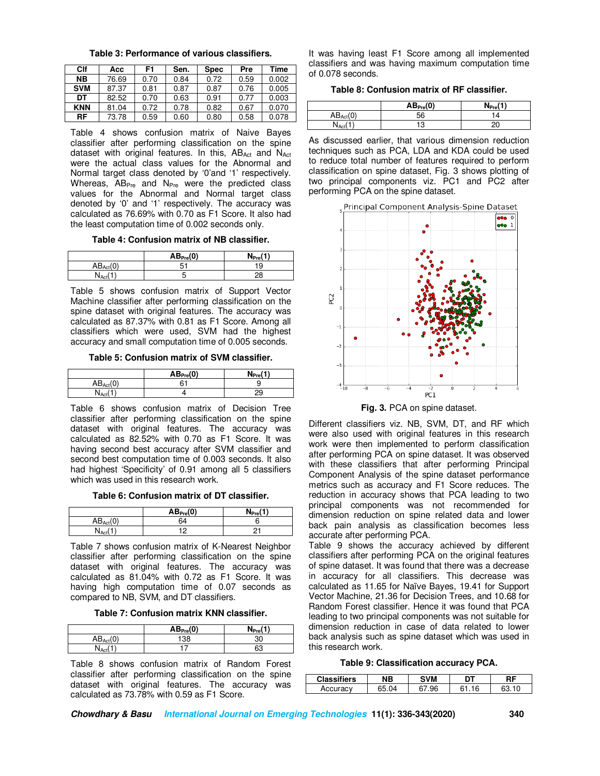| Table 3: Performance of various classifiers. |  |
|----------------------------------------------|--|
|----------------------------------------------|--|

| Clf        | Асс   | F1   | Sen. | <b>Spec</b> | Pre  | Time  |
|------------|-------|------|------|-------------|------|-------|
| NB.        | 76.69 | 0.70 | 0.84 | 0.72        | 0.59 | 0.002 |
| <b>SVM</b> | 87.37 | 0.81 | 0.87 | 0.87        | 0.76 | 0.005 |
| DT         | 82.52 | 0.70 | 0.63 | 0.91        | 0.77 | 0.003 |
| <b>KNN</b> | 81.04 | 0.72 | 0.78 | 0.82        | 0.67 | 0.070 |
| RF         | 73.78 | 0.59 | 0.60 | 0.80        | 0.58 | 0.078 |

Table 4 shows confusion matrix of Naive Bayes classifier after performing classification on the spine dataset with original features. In this, ABAct and NAct were the actual class values for the Abnormal and Normal target class denoted by '0'and '1' respectively. Whereas,  $AB_{Pre}$  and  $N_{Pre}$  were the predicted class values for the Abnormal and Normal target class denoted by '0' and '1' respectively. The accuracy was calculated as 76.69% with 0.70 as F1 Score. It also had the least computation time of 0.002 seconds only.

**Table 4: Confusion matrix of NB classifier.** 

|                   | AB <sub>Pre</sub> (0) | $\rightarrow$<br><b>N</b> <sub>Pre</sub> |
|-------------------|-----------------------|------------------------------------------|
| $AB_{Act}$        | г.<br>ີ               | ю                                        |
| 'N <sub>Act</sub> | v.                    |                                          |

Table 5 shows confusion matrix of Support Vector Machine classifier after performing classification on the spine dataset with original features. The accuracy was calculated as 87.37% with 0.81 as F1 Score. Among all classifiers which were used, SVM had the highest accuracy and small computation time of 0.005 seconds.

**Table 5: Confusion matrix of SVM classifier.** 

|                      | AB <sub>Pre</sub> (0) | (1)<br>N <sub>prov</sub> |
|----------------------|-----------------------|--------------------------|
| $AB_{\text{Act}}(0)$ | 61                    |                          |
| N <sub>Act</sub>     |                       |                          |

Table 6 shows confusion matrix of Decision Tree classifier after performing classification on the spine dataset with original features. The accuracy was calculated as 82.52% with 0.70 as F1 Score. It was having second best accuracy after SVM classifier and second best computation time of 0.003 seconds. It also had highest 'Specificity' of 0.91 among all 5 classifiers which was used in this research work.

**Table 6: Confusion matrix of DT classifier.** 

|                          | AB <sub>Pre</sub> (0) | $\sim$<br>N <sub>Pre</sub> |
|--------------------------|-----------------------|----------------------------|
| (n)<br>$AB_{\text{Act}}$ | 64                    |                            |
| <b>NAC</b>               | י י                   |                            |

Table 7 shows confusion matrix of K-Nearest Neighbor classifier after performing classification on the spine dataset with original features. The accuracy was calculated as 81.04% with 0.72 as F1 Score. It was having high computation time of 0.07 seconds as compared to NB, SVM, and DT classifiers.

**Table 7: Confusion matrix KNN classifier.** 

|                      | AB <sub>Pre</sub> (0) | (1)<br>$N_{\text{PreV}}$ |
|----------------------|-----------------------|--------------------------|
| $AB_{\text{Act}}(0)$ | 38                    | ٩r<br>υU                 |
| $N_{\sf Ac}$         |                       | 63                       |

Table 8 shows confusion matrix of Random Forest classifier after performing classification on the spine dataset with original features. The accuracy was calculated as 73.78% with 0.59 as F1 Score.

It was having least F1 Score among all implemented classifiers and was having maximum computation time of 0.078 seconds.

**Table 8: Confusion matrix of RF classifier.** 

|      | AB <sub>Pre</sub> (0) | $N_{Pre}$ |
|------|-----------------------|-----------|
|      | -0<br>ჂႩ              | ∠         |
| N Ac |                       |           |

As discussed earlier, that various dimension reduction techniques such as PCA, LDA and KDA could be used to reduce total number of features required to perform classification on spine dataset, Fig. 3 shows plotting of two principal components viz. PC1 and PC2 after performing PCA on the spine dataset.



**Fig. 3.** PCA on spine dataset.

Different classifiers viz. NB, SVM, DT, and RF which were also used with original features in this research work were then implemented to perform classification after performing PCA on spine dataset. It was observed with these classifiers that after performing Principal Component Analysis of the spine dataset performance metrics such as accuracy and F1 Score reduces. The reduction in accuracy shows that PCA leading to two principal components was not recommended for dimension reduction on spine related data and lower back pain analysis as classification becomes less accurate after performing PCA.

Table 9 shows the accuracy achieved by different classifiers after performing PCA on the original features of spine dataset. It was found that there was a decrease in accuracy for all classifiers. This decrease was calculated as 11.65 for Naïve Bayes, 19.41 for Support Vector Machine, 21.36 for Decision Trees, and 10.68 for Random Forest classifier. Hence it was found that PCA leading to two principal components was not suitable for dimension reduction in case of data related to lower back analysis such as spine dataset which was used in this research work.

|  |  | Table 9: Classification accuracy PCA. |
|--|--|---------------------------------------|
|--|--|---------------------------------------|

| <b>Classifiers</b> | NΒ  | <b>SVM</b> | דם      |  |
|--------------------|-----|------------|---------|--|
| Accuracy           | .04 | 67.96      | 16<br>ົ |  |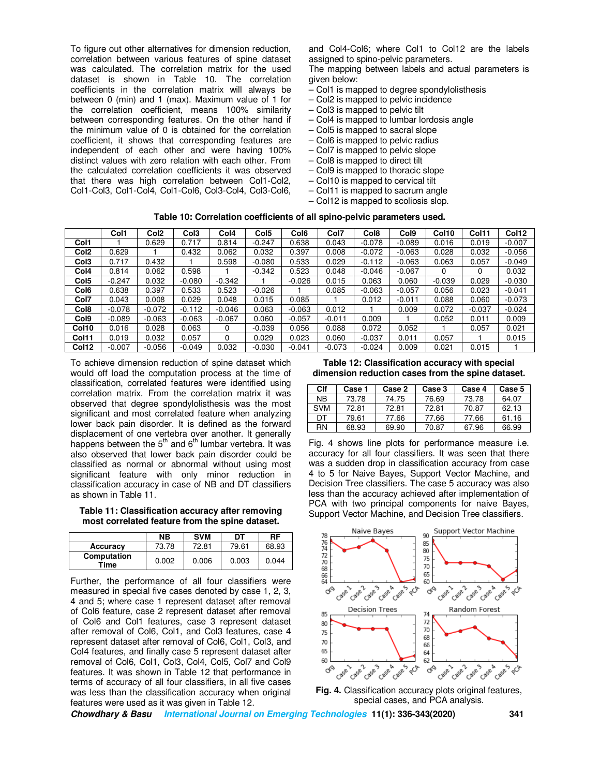To figure out other alternatives for dimension reduction, correlation between various features of spine dataset was calculated. The correlation matrix for the used dataset is shown in Table 10. The correlation coefficients in the correlation matrix will always be between 0 (min) and 1 (max). Maximum value of 1 for the correlation coefficient, means 100% similarity between corresponding features. On the other hand if the minimum value of 0 is obtained for the correlation coefficient, it shows that corresponding features are independent of each other and were having 100% distinct values with zero relation with each other. From the calculated correlation coefficients it was observed that there was high correlation between Col1-Col2, Col1-Col3, Col1-Col4, Col1-Col6, Col3-Col4, Col3-Col6,

and Col4-Col6; where Col1 to Col12 are the labels assigned to spino-pelvic parameters.

The mapping between labels and actual parameters is given below:

- Col1 is mapped to degree spondylolisthesis
- Col2 is mapped to pelvic incidence
- Col3 is mapped to pelvic tilt
- Col4 is mapped to lumbar lordosis angle
- Col5 is mapped to sacral slope
- Col6 is mapped to pelvic radius
- Col7 is mapped to pelvic slope
- Col8 is mapped to direct tilt
- Col9 is mapped to thoracic slope
- Col10 is mapped to cervical tilt
- Col11 is mapped to sacrum angle
- Col12 is mapped to scoliosis slop.

| Table 10: Correlation coefficients of all spino-pelvic parameters used. |  |
|-------------------------------------------------------------------------|--|
|-------------------------------------------------------------------------|--|

|                  | Col1     | Col <sub>2</sub> | Col <sub>3</sub> | Col4     | Col <sub>5</sub> | Col <sub>6</sub> | Col7     | Col8     | Col <sub>9</sub> | Col <sub>10</sub> | Col11    | Col12    |
|------------------|----------|------------------|------------------|----------|------------------|------------------|----------|----------|------------------|-------------------|----------|----------|
| Col1             |          | 0.629            | 0.717            | 0.814    | $-0.247$         | 0.638            | 0.043    | $-0.078$ | $-0.089$         | 0.016             | 0.019    | $-0.007$ |
| Col <sub>2</sub> | 0.629    |                  | 0.432            | 0.062    | 0.032            | 0.397            | 0.008    | $-0.072$ | $-0.063$         | 0.028             | 0.032    | $-0.056$ |
| Col <sub>3</sub> | 0.717    | 0.432            |                  | 0.598    | $-0.080$         | 0.533            | 0.029    | $-0.112$ | $-0.063$         | 0.063             | 0.057    | $-0.049$ |
| Col <sub>4</sub> | 0.814    | 0.062            | 0.598            |          | $-0.342$         | 0.523            | 0.048    | $-0.046$ | $-0.067$         | 0                 | $\Omega$ | 0.032    |
| Col <sub>5</sub> | $-0.247$ | 0.032            | $-0.080$         | $-0.342$ |                  | $-0.026$         | 0.015    | 0.063    | 0.060            | $-0.039$          | 0.029    | $-0.030$ |
| Col <sub>6</sub> | 0.638    | 0.397            | 0.533            | 0.523    | $-0.026$         |                  | 0.085    | $-0.063$ | $-0.057$         | 0.056             | 0.023    | $-0.041$ |
| Col7             | 0.043    | 0.008            | 0.029            | 0.048    | 0.015            | 0.085            |          | 0.012    | $-0.011$         | 0.088             | 0.060    | $-0.073$ |
| Col <sub>8</sub> | $-0.078$ | $-0.072$         | $-0.112$         | $-0.046$ | 0.063            | $-0.063$         | 0.012    |          | 0.009            | 0.072             | $-0.037$ | $-0.024$ |
| Col <sub>9</sub> | $-0.089$ | $-0.063$         | $-0.063$         | $-0.067$ | 0.060            | $-0.057$         | $-0.011$ | 0.009    |                  | 0.052             | 0.011    | 0.009    |
| Col10            | 0.016    | 0.028            | 0.063            | $\Omega$ | $-0.039$         | 0.056            | 0.088    | 0.072    | 0.052            |                   | 0.057    | 0.021    |
| Col11            | 0.019    | 0.032            | 0.057            | $\Omega$ | 0.029            | 0.023            | 0.060    | $-0.037$ | 0.011            | 0.057             |          | 0.015    |
| Col12            | $-0.007$ | $-0.056$         | $-0.049$         | 0.032    | $-0.030$         | $-0.041$         | $-0.073$ | $-0.024$ | 0.009            | 0.021             | 0.015    |          |

To achieve dimension reduction of spine dataset which would off load the computation process at the time of classification, correlated features were identified using correlation matrix. From the correlation matrix it was observed that degree spondylolisthesis was the most significant and most correlated feature when analyzing lower back pain disorder. It is defined as the forward displacement of one vertebra over another. It generally happens between the  $5<sup>th</sup>$  and  $6<sup>th</sup>$  lumbar vertebra. It was also observed that lower back pain disorder could be classified as normal or abnormal without using most significant feature with only minor reduction in classification accuracy in case of NB and DT classifiers as shown in Table 11.

**Table 11: Classification accuracy after removing most correlated feature from the spine dataset.** 

|                     | <b>NB</b> | <b>SVM</b> | DT    | RF    |
|---------------------|-----------|------------|-------|-------|
| Accuracy            | 73.78     | 72.81      | 79.61 | 68.93 |
| Computation<br>Time | 0.002     | 0.006      | 0.003 | 0.044 |

Further, the performance of all four classifiers were measured in special five cases denoted by case 1, 2, 3, 4 and 5; where case 1 represent dataset after removal of Col6 feature, case 2 represent dataset after removal of Col6 and Col1 features, case 3 represent dataset after removal of Col6, Col1, and Col3 features, case 4 represent dataset after removal of Col6, Col1, Col3, and Col4 features, and finally case 5 represent dataset after removal of Col6, Col1, Col3, Col4, Col5, Col7 and Col9 features. It was shown in Table 12 that performance in terms of accuracy of all four classifiers, in all five cases was less than the classification accuracy when original features were used as it was given in Table 12.

**Table 12: Classification accuracy with special dimension reduction cases from the spine dataset.** 

| Clf        | Case 1 | Case 2 | Case 3 | Case 4 | Case 5 |
|------------|--------|--------|--------|--------|--------|
| NB.        | 73.78  | 74.75  | 76.69  | 73.78  | 64.07  |
| <b>SVM</b> | 72.81  | 72.81  | 72.81  | 70.87  | 62.13  |
| DТ         | 79.61  | 77.66  | 77.66  | 77.66  | 61.16  |
| <b>RN</b>  | 68.93  | 69.90  | 70.87  | 67.96  | 66.99  |

Fig. 4 shows line plots for performance measure i.e. accuracy for all four classifiers. It was seen that there was a sudden drop in classification accuracy from case 4 to 5 for Naive Bayes, Support Vector Machine, and Decision Tree classifiers. The case 5 accuracy was also less than the accuracy achieved after implementation of PCA with two principal components for naive Bayes, Support Vector Machine, and Decision Tree classifiers.



**Fig. 4.** Classification accuracy plots original features, special cases, and PCA analysis.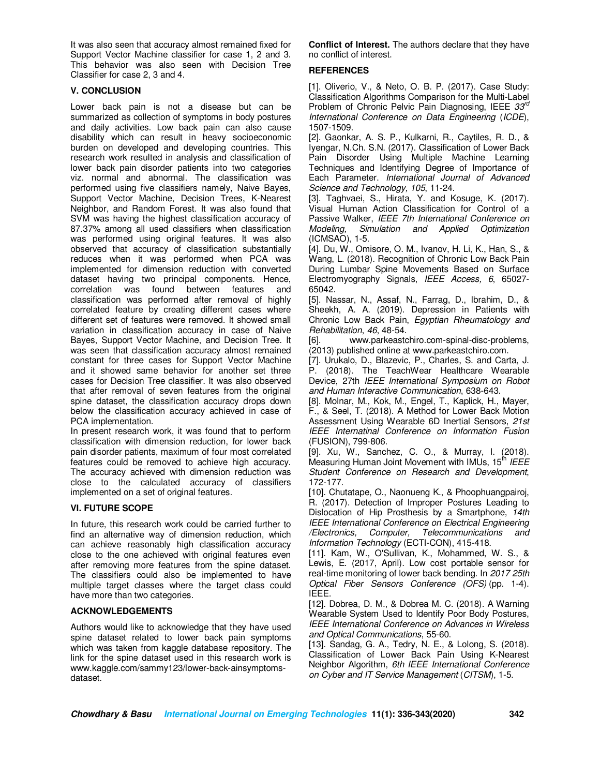It was also seen that accuracy almost remained fixed for Support Vector Machine classifier for case 1, 2 and 3. This behavior was also seen with Decision Tree Classifier for case 2, 3 and 4.

## **V. CONCLUSION**

Lower back pain is not a disease but can be summarized as collection of symptoms in body postures and daily activities. Low back pain can also cause disability which can result in heavy socioeconomic burden on developed and developing countries. This research work resulted in analysis and classification of lower back pain disorder patients into two categories viz. normal and abnormal. The classification was performed using five classifiers namely, Naive Bayes, Support Vector Machine, Decision Trees, K-Nearest Neighbor, and Random Forest. It was also found that SVM was having the highest classification accuracy of 87.37% among all used classifiers when classification was performed using original features. It was also observed that accuracy of classification substantially reduces when it was performed when PCA was implemented for dimension reduction with converted dataset having two principal components. Hence, correlation was found between features and classification was performed after removal of highly correlated feature by creating different cases where different set of features were removed. It showed small variation in classification accuracy in case of Naive Bayes, Support Vector Machine, and Decision Tree. It was seen that classification accuracy almost remained constant for three cases for Support Vector Machine and it showed same behavior for another set three cases for Decision Tree classifier. It was also observed that after removal of seven features from the original spine dataset, the classification accuracy drops down below the classification accuracy achieved in case of PCA implementation.

In present research work, it was found that to perform classification with dimension reduction, for lower back pain disorder patients, maximum of four most correlated features could be removed to achieve high accuracy. The accuracy achieved with dimension reduction was close to the calculated accuracy of classifiers implemented on a set of original features.

# **VI. FUTURE SCOPE**

In future, this research work could be carried further to find an alternative way of dimension reduction, which can achieve reasonably high classification accuracy close to the one achieved with original features even after removing more features from the spine dataset. The classifiers could also be implemented to have multiple target classes where the target class could have more than two categories.

### **ACKNOWLEDGEMENTS**

Authors would like to acknowledge that they have used spine dataset related to lower back pain symptoms which was taken from kaggle database repository. The link for the spine dataset used in this research work is www.kaggle.com/sammy123/lower-back-ainsymptomsdataset.

**Conflict of Interest.** The authors declare that they have no conflict of interest.

## **REFERENCES**

[1]. Oliverio, V., & Neto, O. B. P. (2017). Case Study: Classification Algorithms Comparison for the Multi-Label Problem of Chronic Pelvic Pain Diagnosing, IEEE *33rd International Conference on Data Engineering* (*ICDE*), 1507-1509.

[2]. Gaonkar, A. S. P., Kulkarni, R., Caytiles, R. D., & Iyengar, N.Ch. S.N. (2017). Classification of Lower Back Pain Disorder Using Multiple Machine Learning Techniques and Identifying Degree of Importance of Each Parameter. *International Journal of Advanced Science and Technology, 105*, 11-24.

[3]. Taghvaei, S., Hirata, Y. and Kosuge, K. (2017). Visual Human Action Classification for Control of a Passive Walker, *IEEE 7th International Conference on Modeling, Simulation and Applied Optimization* (ICMSAO), 1-5.

[4]. Du, W., Omisore, O. M., Ivanov, H. Li, K., Han, S., & Wang, L. (2018). Recognition of Chronic Low Back Pain During Lumbar Spine Movements Based on Surface Electromyography Signals, *IEEE Access, 6*, 65027- 65042.

[5]. Nassar, N., Assaf, N., Farrag, D., Ibrahim, D., & Sheekh, A. A. (2019). Depression in Patients with Chronic Low Back Pain, *Egyptian Rheumatology and Rehabilitation*, *46*, 48-54.

[6]. www.parkeastchiro.com-spinal-disc-problems, (2013) published online at www.parkeastchiro.com.

[7]. Urukalo, D., Blazevic, P., Charles, S. and Carta, J. P. (2018). The TeachWear Healthcare Wearable Device, 27th *IEEE International Symposium on Robot and Human Interactive Communication*, 638-643.

[8]. Molnar, M., Kok, M., Engel, T., Kaplick, H., Mayer, F., & Seel, T. (2018). A Method for Lower Back Motion Assessment Using Wearable 6D Inertial Sensors, *21st IEEE Internatinal Conference on Information Fusion* (FUSION), 799-806.

[9]. Xu, W., Sanchez, C. O., & Murray, I. (2018). Measuring Human Joint Movement with *IMUs*, 15<sup>th</sup> *IEEE Student Conference on Research and Development*, 172-177.

[10]. Chutatape, O., Naonueng K., & Phoophuangpairoj, R. (2017). Detection of Improper Postures Leading to Dislocation of Hip Prosthesis by a Smartphone, *14th IEEE International Conference on Electrical Engineering /Electronics, Computer, Telecommunications and Information Technology* (ECTI-CON), 415-418.

[11]. Kam, W., O'Sullivan, K., Mohammed, W. S., & Lewis, E. (2017, April). Low cost portable sensor for real-time monitoring of lower back bending. In *2017 25th Optical Fiber Sensors Conference (OFS)* (pp. 1-4). IEEE.

[12]. Dobrea, D. M., & Dobrea M. C. (2018). A Warning Wearable System Used to Identify Poor Body Postures, *IEEE International Conference on Advances in Wireless and Optical Communications*, 55-60.

[13]. Sandag, G. A., Tedry, N. E., & Lolong, S. (2018). Classification of Lower Back Pain Using K-Nearest Neighbor Algorithm, *6th IEEE International Conference on Cyber and IT Service Management* (*CITSM*), 1-5.